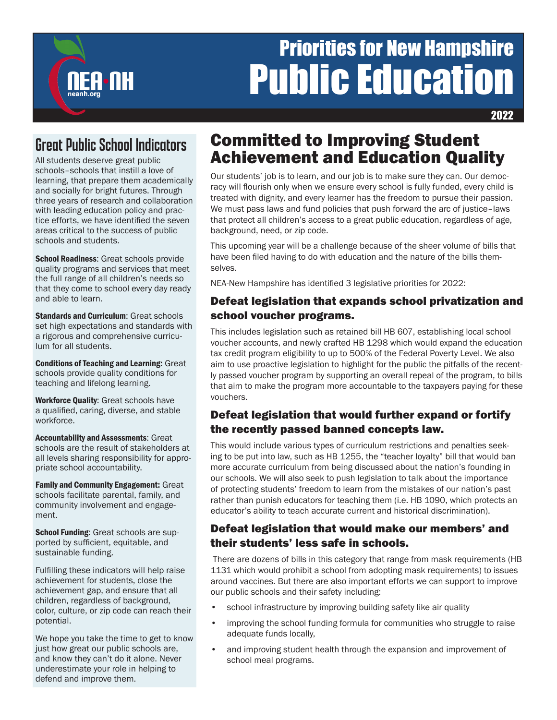# Priorities for New Hampshire **Public Educatio**

2022

# Great Public School Indicators

**FA-NH** 

All students deserve great public schools–schools that instill a love of learning, that prepare them academically and socially for bright futures. Through three years of research and collaboration with leading education policy and practice efforts, we have identified the seven areas critical to the success of public schools and students.

**School Readiness: Great schools provide** quality programs and services that meet the full range of all children's needs so that they come to school every day ready and able to learn.

**Standards and Curriculum: Great schools** set high expectations and standards with a rigorous and comprehensive curriculum for all students.

Conditions of Teaching and Learning: Great schools provide quality conditions for teaching and lifelong learning.

Workforce Quality: Great schools have a qualified, caring, diverse, and stable workforce.

Accountability and Assessments: Great schools are the result of stakeholders at all levels sharing responsibility for appropriate school accountability.

Family and Community Engagement: Great schools facilitate parental, family, and community involvement and engagement.

**School Funding: Great schools are sup**ported by sufficient, equitable, and sustainable funding.

Fulfilling these indicators will help raise achievement for students, close the achievement gap, and ensure that all children, regardless of background, color, culture, or zip code can reach their potential.

We hope you take the time to get to know just how great our public schools are, and know they can't do it alone. Never underestimate your role in helping to defend and improve them.

# Committed to Improving Student Achievement and Education Quality

Our students' job is to learn, and our job is to make sure they can. Our democracy will flourish only when we ensure every school is fully funded, every child is treated with dignity, and every learner has the freedom to pursue their passion. We must pass laws and fund policies that push forward the arc of justice–laws that protect all children's access to a great public education, regardless of age, background, need, or zip code.

This upcoming year will be a challenge because of the sheer volume of bills that have been filed having to do with education and the nature of the bills themselves.

NEA-New Hampshire has identified 3 legislative priorities for 2022:

### Defeat legislation that expands school privatization and school voucher programs.

This includes legislation such as retained bill HB 607, establishing local school voucher accounts, and newly crafted HB 1298 which would expand the education tax credit program eligibility to up to 500% of the Federal Poverty Level. We also aim to use proactive legislation to highlight for the public the pitfalls of the recently passed voucher program by supporting an overall repeal of the program, to bills that aim to make the program more accountable to the taxpayers paying for these vouchers.

## Defeat legislation that would further expand or fortify the recently passed banned concepts law.

This would include various types of curriculum restrictions and penalties seeking to be put into law, such as HB 1255, the "teacher loyalty" bill that would ban more accurate curriculum from being discussed about the nation's founding in our schools. We will also seek to push legislation to talk about the importance of protecting students' freedom to learn from the mistakes of our nation's past rather than punish educators for teaching them (i.e. HB 1090, which protects an educator's ability to teach accurate current and historical discrimination).

#### Defeat legislation that would make our members' and their students' less safe in schools.

 There are dozens of bills in this category that range from mask requirements (HB 1131 which would prohibit a school from adopting mask requirements) to issues around vaccines. But there are also important efforts we can support to improve our public schools and their safety including:

- school infrastructure by improving building safety like air quality
- improving the school funding formula for communities who struggle to raise adequate funds locally,
- and improving student health through the expansion and improvement of school meal programs.